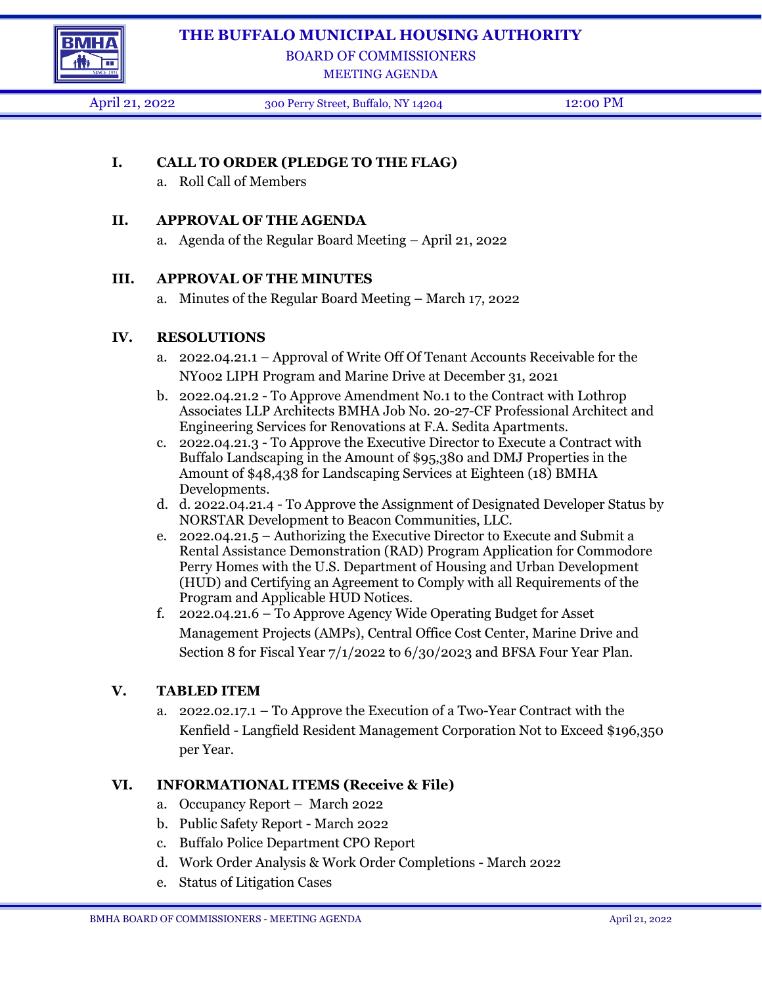



# BOARD OF COMMISSIONERS

MEETING AGENDA

April 21, 2022 300 Perry Street, Buffalo, NY 14204 12:00 PM

## **I. CALL TO ORDER (PLEDGE TO THE FLAG)**

a. Roll Call of Members

#### **II. APPROVAL OF THE AGENDA**

a. Agenda of the Regular Board Meeting – April 21, 2022

#### **III. APPROVAL OF THE MINUTES**

a. Minutes of the Regular Board Meeting – March 17, 2022

#### **IV. RESOLUTIONS**

- a. 2022.04.21.1 Approval of Write Off Of Tenant Accounts Receivable for the NY002 LIPH Program and Marine Drive at December 31, 2021
- b. 2022.04.21.2 To Approve Amendment No.1 to the Contract with Lothrop Associates LLP Architects BMHA Job No. 20-27-CF Professional Architect and Engineering Services for Renovations at F.A. Sedita Apartments.
- c. 2022.04.21.3 To Approve the Executive Director to Execute a Contract with Buffalo Landscaping in the Amount of \$95,380 and DMJ Properties in the Amount of \$48,438 for Landscaping Services at Eighteen (18) BMHA Developments.
- d. d. 2022.04.21.4 To Approve the Assignment of Designated Developer Status by NORSTAR Development to Beacon Communities, LLC.
- e. 2022.04.21.5 Authorizing the Executive Director to Execute and Submit a Rental Assistance Demonstration (RAD) Program Application for Commodore Perry Homes with the U.S. Department of Housing and Urban Development (HUD) and Certifying an Agreement to Comply with all Requirements of the Program and Applicable HUD Notices.
- f. 2022.04.21.6 To Approve Agency Wide Operating Budget for Asset Management Projects (AMPs), Central Office Cost Center, Marine Drive and Section 8 for Fiscal Year 7/1/2022 to 6/30/2023 and BFSA Four Year Plan.

### **V. TABLED ITEM**

a. 2022.02.17.1 – To Approve the Execution of a Two-Year Contract with the Kenfield - Langfield Resident Management Corporation Not to Exceed \$196,350 per Year.

### **VI. INFORMATIONAL ITEMS (Receive & File)**

- a. Occupancy Report March 2022
- b. Public Safety Report March 2022
- c. Buffalo Police Department CPO Report
- d. Work Order Analysis & Work Order Completions March 2022
- e. Status of Litigation Cases